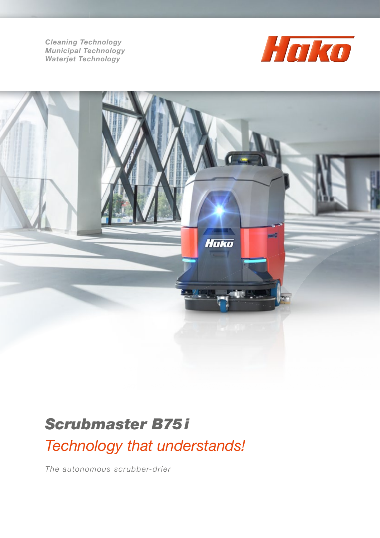*Cleaning Technology Municipal Technology Waterjet Technology*





## *Scrubmaster B75 i*

*Technology that understands!* 

*The autonomous scrubber-drier*